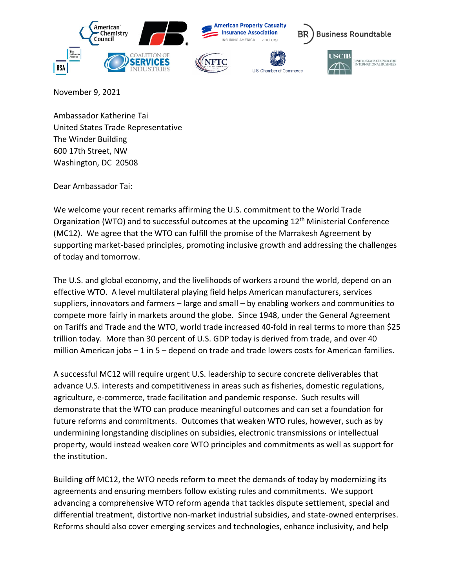

November 9, 2021

Ambassador Katherine Tai United States Trade Representative The Winder Building 600 17th Street, NW Washington, DC 20508

Dear Ambassador Tai:

We welcome your recent remarks affirming the U.S. commitment to the World Trade Organization (WTO) and to successful outcomes at the upcoming 12<sup>th</sup> Ministerial Conference (MC12). We agree that the WTO can fulfill the promise of the Marrakesh Agreement by supporting market-based principles, promoting inclusive growth and addressing the challenges of today and tomorrow.

The U.S. and global economy, and the livelihoods of workers around the world, depend on an effective WTO. A level multilateral playing field helps American manufacturers, services suppliers, innovators and farmers – large and small – by enabling workers and communities to compete more fairly in markets around the globe. Since 1948, under the General Agreement on Tariffs and Trade and the WTO, world trade increased 40-fold in real terms to more than \$25 trillion today. More than 30 percent of U.S. GDP today is derived from trade, and over 40 million American jobs – 1 in 5 – depend on trade and trade lowers costs for American families.

A successful MC12 will require urgent U.S. leadership to secure concrete deliverables that advance U.S. interests and competitiveness in areas such as fisheries, domestic regulations, agriculture, e-commerce, trade facilitation and pandemic response. Such results will demonstrate that the WTO can produce meaningful outcomes and can set a foundation for future reforms and commitments. Outcomes that weaken WTO rules, however, such as by undermining longstanding disciplines on subsidies, electronic transmissions or intellectual property, would instead weaken core WTO principles and commitments as well as support for the institution.

Building off MC12, the WTO needs reform to meet the demands of today by modernizing its agreements and ensuring members follow existing rules and commitments. We support advancing a comprehensive WTO reform agenda that tackles dispute settlement, special and differential treatment, distortive non-market industrial subsidies, and state-owned enterprises. Reforms should also cover emerging services and technologies, enhance inclusivity, and help